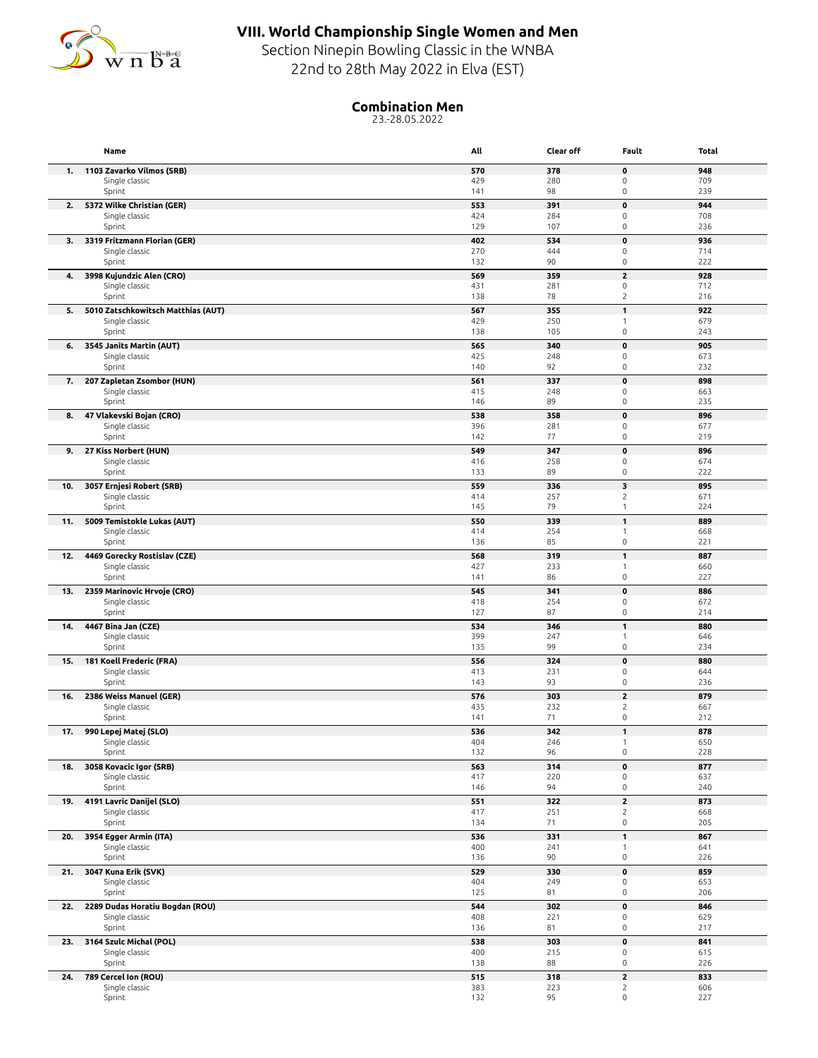

## **VIII. World Championship Single Women and Men**

Section Ninepin Bowling Classic in the WNBA 22nd to 28th May 2022 in Elva (EST)

## **Combination Men**

23.-28.05.2022

|     | Name                                         | All        | Clear off  | Fault                                      | Total      |
|-----|----------------------------------------------|------------|------------|--------------------------------------------|------------|
|     | 1. 1103 Zavarko Vilmos (SRB)                 | 570        | 378        | $\pmb{0}$                                  | 948        |
|     | Single classic                               | 429        | 280        | $\mathsf{O}\xspace$                        | 709        |
|     | Sprint                                       | 141        | 98         | $\mathsf{O}\xspace$                        | 239        |
| 2.  | 5372 Wilke Christian (GER)<br>Single classic | 553<br>424 | 391<br>284 | $\pmb{0}$<br>$\mathsf{O}\xspace$           | 944<br>708 |
|     | Sprint                                       | 129        | 107        | $\mathsf{O}\xspace$                        | 236        |
|     | 3. 3319 Fritzmann Florian (GER)              | 402        | 534        | $\mathbf 0$                                | 936        |
|     | Single classic                               | 270        | 444        | $\mathsf{O}\xspace$                        | 714        |
|     | Sprint                                       | 132        | 90         | $\mathsf{O}\xspace$                        | 222        |
| 4.  | 3998 Kujundzic Alen (CRO)<br>Single classic  | 569<br>431 | 359<br>281 | $\mathbf 2$<br>$\mathsf{O}\xspace$         | 928<br>712 |
|     | Sprint                                       | 138        | 78         | $\overline{c}$                             | 216        |
| 5.  | 5010 Zatschkowitsch Matthias (AUT)           | 567        | 355        | $\mathbf{1}$                               | 922        |
|     | Single classic                               | 429        | 250        | $\mathbf{1}$                               | 679        |
|     | Sprint                                       | 138        | 105        | $\mathsf{O}\xspace$                        | 243        |
| 6.  | 3545 Janits Martin (AUT)                     | 565        | 340        | $\pmb{0}$                                  | 905        |
|     | Single classic<br>Sprint                     | 425<br>140 | 248<br>92  | 0<br>$\mathsf{O}\xspace$                   | 673<br>232 |
| 7.  | 207 Zapletan Zsombor (HUN)                   | 561        | 337        | $\mathbf 0$                                | 898        |
|     | Single classic                               | 415        | 248        | $\mathsf{O}\xspace$                        | 663        |
|     | Sprint                                       | 146        | 89         | $\mathsf{O}\xspace$                        | 235        |
| 8.  | 47 Vlakevski Bojan (CRO)                     | 538        | 358        | $\pmb{0}$                                  | 896        |
|     | Single classic<br>Sprint                     | 396<br>142 | 281<br>77  | 0<br>$\mathsf{O}\xspace$                   | 677<br>219 |
| 9.  | 27 Kiss Norbert (HUN)                        | 549        | 347        | $\pmb{0}$                                  | 896        |
|     | Single classic                               | 416        | 258        | $\mathsf{O}\xspace$                        | 674        |
|     | Sprint                                       | 133        | 89         | $\mathsf{O}\xspace$                        | 222        |
| 10. | 3057 Ernjesi Robert (SRB)                    | 559        | 336        | 3                                          | 895        |
|     | Single classic<br>Sprint                     | 414<br>145 | 257<br>79  | 2<br>$\mathbf{1}$                          | 671<br>224 |
| 11. | 5009 Temistokle Lukas (AUT)                  | 550        | 339        | $\mathbf{1}$                               | 889        |
|     | Single classic                               | 414        | 254        | $\mathbf{1}$                               | 668        |
|     | Sprint                                       | 136        | 85         | $\mathsf{O}\xspace$                        | 221        |
| 12. | 4469 Gorecky Rostislav (CZE)                 | 568        | 319        | $\mathbf{1}$                               | 887        |
|     | Single classic<br>Sprint                     | 427<br>141 | 233<br>86  | $\mathbf{1}$<br>$\mathsf{O}\xspace$        | 660<br>227 |
| 13. | 2359 Marinovic Hrvoje (CRO)                  | 545        | 341        | $\pmb{0}$                                  | 886        |
|     | Single classic                               | 418        | 254        | $\mathsf{O}\xspace$                        | 672        |
|     | Sprint                                       | 127        | 87         | $\mathsf{O}\xspace$                        | 214        |
| 14. | 4467 Bina Jan (CZE)                          | 534        | 346        | $\mathbf{1}$                               | 880        |
|     | Single classic<br>Sprint                     | 399<br>135 | 247<br>99  | $\mathbf{1}$<br>$\mathsf{O}\xspace$        | 646<br>234 |
| 15. | 181 Koell Frederic (FRA)                     | 556        | 324        | $\mathbf 0$                                | 880        |
|     | Single classic                               | 413        | 231        | $\mathsf{O}\xspace$                        | 644        |
|     | Sprint                                       | 143        | 93         | $\mathsf{O}\xspace$                        | 236        |
| 16. | 2386 Weiss Manuel (GER)                      | 576        | 303        | $\overline{\mathbf{c}}$                    | 879        |
|     | Single classic<br>Sprint                     | 435<br>141 | 232<br>71  | 2<br>$\mathsf{O}\xspace$                   | 667<br>212 |
| 17. | 990 Lepej Matej (SLO)                        | 536        | 342        | 1                                          | 878        |
|     | Single classic                               | 404        | 246        |                                            | 650        |
|     | Sprint                                       | 132        | 96         | $\mathsf{O}\xspace$                        | 228        |
| 18. | 3058 Kovacic Igor (SRB)                      | 563        | 314        | $\pmb{\mathsf{o}}$                         | 877        |
|     | Single classic<br>Sprint                     | 417<br>146 | 220<br>94  | $\mathsf{O}\xspace$<br>$\mathsf{O}\xspace$ | 637<br>240 |
| 19. | 4191 Lavric Danijel (SLO)                    | 551        | 322        | $\mathbf{2}$                               | 873        |
|     | Single classic                               | 417        | 251        | $\overline{c}$                             | 668        |
|     | Sprint                                       | 134        | 71         | $\mathsf{O}\xspace$                        | 205        |
| 20. | 3954 Egger Armin (ITA)                       | 536        | 331        | $\mathbf{1}$                               | 867        |
|     | Single classic<br>Sprint                     | 400<br>136 | 241<br>90  | $\mathbf{1}$<br>$\mathsf{O}\xspace$        | 641<br>226 |
|     | 21. 3047 Kuna Erik (SVK)                     | 529        | 330        | $\pmb{0}$                                  | 859        |
|     | Single classic                               | 404        | 249        | $\mathsf{O}\xspace$                        | 653        |
|     | Sprint                                       | 125        | 81         | $\mathsf{O}\xspace$                        | 206        |
|     | 22. 2289 Dudas Horatiu Bogdan (ROU)          | 544        | 302        | $\pmb{0}$                                  | 846        |
|     | Single classic<br>Sprint                     | 408<br>136 | 221<br>81  | $\mathsf{O}\xspace$<br>0                   | 629<br>217 |
|     | 23. 3164 Szulc Michal (POL)                  | 538        | 303        | $\pmb{0}$                                  | 841        |
|     | Single classic                               | 400        | 215        | 0                                          | 615        |
|     | Sprint                                       | 138        | 88         | 0                                          | 226        |
|     | 24. 789 Cercel Ion (ROU)                     | 515        | 318        | $\overline{\mathbf{2}}$                    | 833        |
|     | Single classic                               | 383        | 223        | $\overline{c}$                             | 606        |
|     | Sprint                                       | 132        | 95         | $\mathsf{O}\xspace$                        | 227        |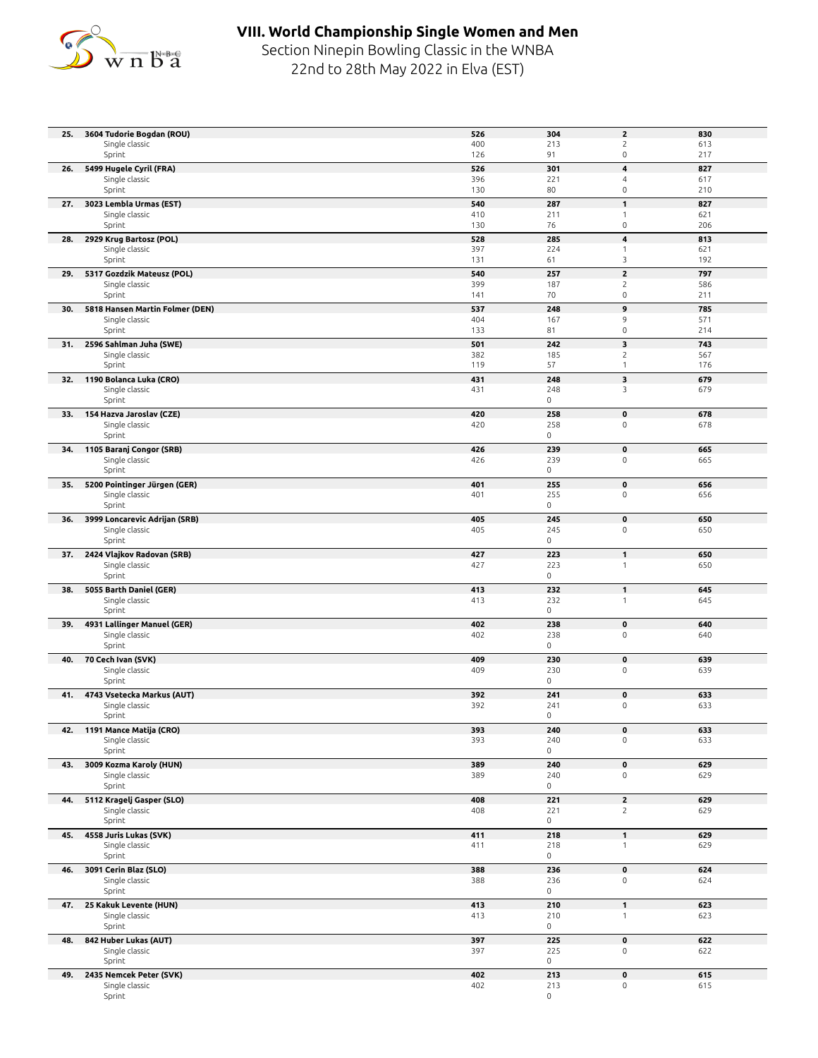

## **VIII. World Championship Single Women and Men**

Section Ninepin Bowling Classic in the WNBA 22nd to 28th May 2022 in Elva (EST)

| 25. | 3604 Tudorie Bogdan (ROU)                         | 526        | 304                        | $\mathbf{2}$                      | 830        |
|-----|---------------------------------------------------|------------|----------------------------|-----------------------------------|------------|
|     | Single classic<br>Sprint                          | 400<br>126 | 213<br>91                  | $\sqrt{2}$<br>$\mathsf{O}\xspace$ | 613<br>217 |
| 26. | 5499 Hugele Cyril (FRA)                           | 526        | 301                        | 4                                 | 827        |
|     | Single classic                                    | 396        | 221                        | 4                                 | 617        |
|     | Sprint                                            | 130        | 80                         | $\mathsf 0$                       | 210        |
| 27. | 3023 Lembla Urmas (EST)                           | 540        | 287                        | $\mathbf{1}$                      | 827        |
|     | Single classic                                    | 410        | 211                        | $\mathbf{1}$                      | 621        |
|     | Sprint                                            | 130        | 76                         | $\mathsf{O}\xspace$               | 206        |
| 28. | 2929 Krug Bartosz (POL)<br>Single classic         | 528<br>397 | 285<br>224                 | 4<br>$\mathbf{1}$                 | 813<br>621 |
|     | Sprint                                            | 131        | 61                         | 3                                 | 192        |
| 29. | 5317 Gozdzik Mateusz (POL)                        | 540        | 257                        | $\overline{\mathbf{c}}$           | 797        |
|     | Single classic                                    | 399        | 187                        | $\overline{c}$                    | 586        |
|     | Sprint                                            | 141        | 70                         | $\mathsf{O}\xspace$               | 211        |
| 30. | 5818 Hansen Martin Folmer (DEN)<br>Single classic | 537<br>404 | 248<br>167                 | 9<br>9                            | 785<br>571 |
|     | Sprint                                            | 133        | 81                         | $\mathsf{O}\xspace$               | 214        |
| 31. | 2596 Sahlman Juha (SWE)                           | 501        | 242                        | 3                                 | 743        |
|     | Single classic<br>Sprint                          | 382        | 185                        | $\overline{c}$<br>$\mathbf{1}$    | 567        |
| 32. | 1190 Bolanca Luka (CRO)                           | 119<br>431 | 57<br>248                  | 3                                 | 176<br>679 |
|     | Single classic                                    | 431        | 248                        | 3                                 | 679        |
|     | Sprint                                            |            | $\mathsf{O}$               |                                   |            |
| 33. | 154 Hazva Jaroslav (CZE)                          | 420        | 258                        | $\pmb{0}$                         | 678        |
|     | Single classic                                    | 420        | 258<br>$\mathsf{O}\xspace$ | $\mathsf{O}\xspace$               | 678        |
|     | Sprint                                            | 426        | 239                        | $\pmb{0}$                         | 665        |
|     | 34. 1105 Baranj Congor (SRB)<br>Single classic    | 426        | 239                        | $\mathsf{O}\xspace$               | 665        |
|     | Sprint                                            |            | $\mathsf{O}\xspace$        |                                   |            |
| 35. | 5200 Pointinger Jürgen (GER)                      | 401        | 255                        | $\pmb{0}$                         | 656        |
|     | Single classic<br>Sprint                          | 401        | 255<br>$\mathsf{O}\xspace$ | $\mathsf 0$                       | 656        |
| 36. | 3999 Loncarevic Adrijan (SRB)                     | 405        | 245                        | $\pmb{0}$                         | 650        |
|     | Single classic                                    | 405        | 245                        | $\mathsf{O}\xspace$               | 650        |
|     | Sprint                                            |            | 0                          |                                   |            |
|     | 37. 2424 Vlajkov Radovan (SRB)                    | 427        | 223                        | $\mathbf{1}$                      | 650        |
|     | Single classic<br>Sprint                          | 427        | 223<br>$\mathsf{O}\xspace$ | $\mathbf{1}$                      | 650        |
| 38. | 5055 Barth Daniel (GER)                           | 413        | 232                        | $\mathbf{1}$                      | 645        |
|     | Single classic                                    | 413        | 232                        | $\mathbf{1}$                      | 645        |
|     | Sprint                                            |            | $\mathsf{O}$               |                                   |            |
| 39. | 4931 Lallinger Manuel (GER)                       | 402        | 238                        | $\pmb{0}$                         | 640        |
|     | Single classic<br>Sprint                          | 402        | 238<br>$\mathsf{O}\xspace$ | $\mathsf{O}\xspace$               | 640        |
| 40. | 70 Cech Ivan (SVK)                                | 409        | 230                        | $\pmb{0}$                         | 639        |
|     | Single classic                                    | 409        | 230                        | $\mathsf{O}\xspace$               | 639        |
|     | Sprint                                            |            | 0                          |                                   |            |
| 41. | 4743 Vsetecka Markus (AUT)<br>Single classic      | 392<br>392 | 241<br>241                 | $\pmb{0}$<br>$\mathsf{O}\xspace$  | 633<br>633 |
|     | Sprint                                            |            | $\mathsf{O}$               |                                   |            |
|     | 42. 1191 Mance Matija (CRO)                       | 393        | 240                        | 0                                 | 633        |
|     | Single classic                                    | 393        | 240                        | $\mathsf{O}\xspace$               | 633        |
|     | Sprint                                            |            | $\mathsf{O}$               |                                   |            |
| 43. | 3009 Kozma Karoly (HUN)<br>Single classic         | 389<br>389 | 240<br>240                 | $\mathbf 0$<br>0                  | 629<br>629 |
|     | Sprint                                            |            | 0                          |                                   |            |
| 44. | 5112 Kragelj Gasper (SLO)                         | 408        | 221                        | $\overline{2}$                    | 629        |
|     | Single classic                                    | 408        | 221                        | $\overline{c}$                    | 629        |
|     | Sprint                                            |            | $\mathsf{O}$               |                                   |            |
| 45. | 4558 Juris Lukas (SVK)<br>Single classic          | 411<br>411 | 218<br>218                 | $\mathbf{1}$<br>$\mathbf{1}$      | 629<br>629 |
|     | Sprint                                            |            | 0                          |                                   |            |
| 46. | 3091 Cerin Blaz (SLO)                             | 388        | 236                        | $\mathbf 0$                       | 624        |
|     | Single classic                                    | 388        | 236                        | $\mathsf{O}\xspace$               | 624        |
|     | Sprint                                            |            | 0                          |                                   |            |
|     | 47. 25 Kakuk Levente (HUN)<br>Single classic      | 413<br>413 | 210<br>210                 | $\mathbf{1}$<br>$\mathbf{1}$      | 623<br>623 |
|     | Sprint                                            |            | $\mathsf{O}$               |                                   |            |
| 48. | 842 Huber Lukas (AUT)                             | 397        | 225                        | $\pmb{0}$                         | 622        |
|     | Single classic                                    | 397        | 225                        | $\mathsf{O}\xspace$               | 622        |
|     | Sprint                                            |            | 0                          |                                   |            |
| 49. | 2435 Nemcek Peter (SVK)<br>Single classic         | 402<br>402 | 213<br>213                 | 0<br>$\mathsf{O}\xspace$          | 615<br>615 |
|     | Sprint                                            |            | $\mathsf{O}$               |                                   |            |
|     |                                                   |            |                            |                                   |            |